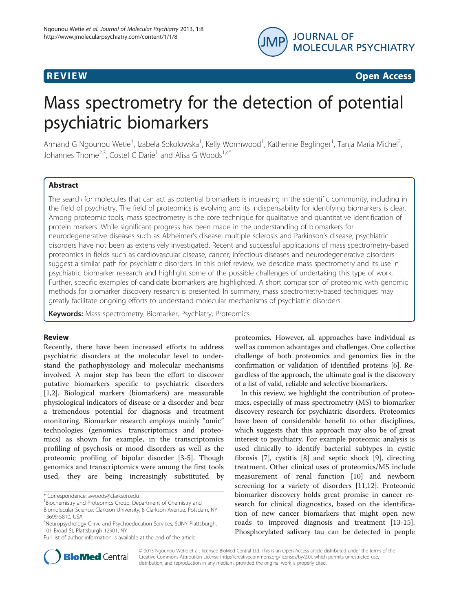

**REVIEW REVIEW CONSTRUCTION** 

# Mass spectrometry for the detection of potential psychiatric biomarkers

Armand G Ngounou Wetie<sup>1</sup>, Izabela Sokolowska<sup>1</sup>, Kelly Wormwood<sup>1</sup>, Katherine Beglinger<sup>1</sup>, Tanja Maria Michel<sup>2</sup> , Johannes Thome<sup>2,3</sup>, Costel C Darie<sup>1</sup> and Alisa G Woods<sup>1,4\*</sup>

# Abstract

The search for molecules that can act as potential biomarkers is increasing in the scientific community, including in the field of psychiatry. The field of proteomics is evolving and its indispensability for identifying biomarkers is clear. Among proteomic tools, mass spectrometry is the core technique for qualitative and quantitative identification of protein markers. While significant progress has been made in the understanding of biomarkers for neurodegenerative diseases such as Alzheimer's disease, multiple sclerosis and Parkinson's disease, psychiatric disorders have not been as extensively investigated. Recent and successful applications of mass spectrometry-based proteomics in fields such as cardiovascular disease, cancer, infectious diseases and neurodegenerative disorders suggest a similar path for psychiatric disorders. In this brief review, we describe mass spectrometry and its use in psychiatric biomarker research and highlight some of the possible challenges of undertaking this type of work. Further, specific examples of candidate biomarkers are highlighted. A short comparison of proteomic with genomic methods for biomarker discovery research is presented. In summary, mass spectrometry-based techniques may greatly facilitate ongoing efforts to understand molecular mechanisms of psychiatric disorders.

Keywords: Mass spectrometry, Biomarker, Psychiatry, Proteomics

#### Review

Recently, there have been increased efforts to address psychiatric disorders at the molecular level to understand the pathophysiology and molecular mechanisms involved. A major step has been the effort to discover putative biomarkers specific to psychiatric disorders [[1,2\]](#page-5-0). Biological markers (biomarkers) are measurable physiological indicators of disease or a disorder and bear a tremendous potential for diagnosis and treatment monitoring. Biomarker research employs mainly "omic" technologies (genomics, transcriptomics and proteomics) as shown for example, in the transcriptomics profiling of psychosis or mood disorders as well as the proteomic profiling of bipolar disorder [\[3](#page-5-0)-[5\]](#page-5-0). Though genomics and transcriptomics were among the first tools used, they are being increasingly substituted by

\* Correspondence: [awoods@clarkson.edu](mailto:awoods@clarkson.edu) <sup>1</sup>

<sup>1</sup> Biochemistry and Proteomics Group, Department of Chemistry and Biomolecular Science, Clarkson University, 8 Clarkson Avenue, Potsdam, NY 13699-5810, USA

Full list of author information is available at the end of the article

proteomics. However, all approaches have individual as well as common advantages and challenges. One collective challenge of both proteomics and genomics lies in the confirmation or validation of identified proteins [[6](#page-5-0)]. Regardless of the approach, the ultimate goal is the discovery of a list of valid, reliable and selective biomarkers.

In this review, we highlight the contribution of proteomics, especially of mass spectrometry (MS) to biomarker discovery research for psychiatric disorders. Proteomics have been of considerable benefit to other disciplines, which suggests that this approach may also be of great interest to psychiatry. For example proteomic analysis is used clinically to identify bacterial subtypes in cystic fibrosis [\[7](#page-5-0)], cystitis [[8\]](#page-5-0) and septic shock [\[9\]](#page-5-0), directing treatment. Other clinical uses of proteomics/MS include measurement of renal function [\[10](#page-5-0)] and newborn screening for a variety of disorders [\[11,12](#page-5-0)]. Proteomic biomarker discovery holds great promise in cancer research for clinical diagnostics, based on the identification of new cancer biomarkers that might open new roads to improved diagnosis and treatment [\[13-15](#page-5-0)]. Phosphorylated salivary tau can be detected in people



© 2013 Ngounou Wetie et al.; licensee BioMed Central Ltd. This is an Open Access article distributed under the terms of the Creative Commons Attribution License (<http://creativecommons.org/licenses/by/2.0>), which permits unrestricted use, distribution, and reproduction in any medium, provided the original work is properly cited.

<sup>4</sup> Neuropsychology Clinic and Psychoeducation Services, SUNY Plattsburgh, 101 Broad St, Plattsburgh 12901, NY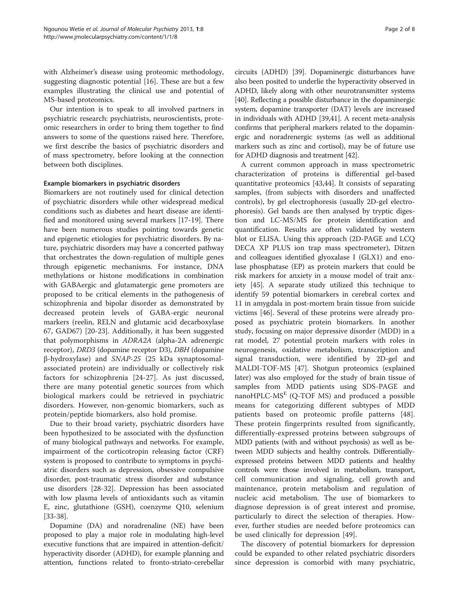with Alzheimer's disease using proteomic methodology, suggesting diagnostic potential [[16\]](#page-5-0). These are but a few examples illustrating the clinical use and potential of MS-based proteomics.

Our intention is to speak to all involved partners in psychiatric research: psychiatrists, neuroscientists, proteomic researchers in order to bring them together to find answers to some of the questions raised here. Therefore, we first describe the basics of psychiatric disorders and of mass spectrometry, before looking at the connection between both disciplines.

# Example biomarkers in psychiatric disorders

Biomarkers are not routinely used for clinical detection of psychiatric disorders while other widespread medical conditions such as diabetes and heart disease are identified and monitored using several markers [[17](#page-5-0)-[19\]](#page-5-0). There have been numerous studies pointing towards genetic and epigenetic etiologies for psychiatric disorders. By nature, psychiatric disorders may have a concerted pathway that orchestrates the down-regulation of multiple genes through epigenetic mechanisms. For instance, DNA methylations or histone modifications in combination with GABAergic and glutamatergic gene promoters are proposed to be critical elements in the pathogenesis of schizophrenia and bipolar disorder as demonstrated by decreased protein levels of GABA-ergic neuronal markers (reelin, RELN and glutamic acid decarboxylase 67, GAD67) [\[20](#page-5-0)-[23\]](#page-5-0). Additionally, it has been suggested that polymorphisms in ADRA2A (alpha-2A adrenergic receptor), DRD3 (dopamine receptor D3), DBH (dopamine β-hydroxylase) and SNAP-25 (25 kDa synaptosomalassociated protein) are individually or collectively risk factors for schizophrenia [[24-27](#page-5-0)]. As just discussed, there are many potential genetic sources from which biological markers could be retrieved in psychiatric disorders. However, non-genomic biomarkers, such as protein/peptide biomarkers, also hold promise.

Due to their broad variety, psychiatric disorders have been hypothesized to be associated with the dysfunction of many biological pathways and networks. For example, impairment of the corticotropin releasing factor (CRF) system is proposed to contribute to symptoms in psychiatric disorders such as depression, obsessive compulsive disorder, post-traumatic stress disorder and substance use disorders [\[28](#page-5-0)-[32\]](#page-5-0). Depression has been associated with low plasma levels of antioxidants such as vitamin E, zinc, glutathione (GSH), coenzyme Q10, selenium [[33-](#page-5-0)[38](#page-6-0)].

Dopamine (DA) and noradrenaline (NE) have been proposed to play a major role in modulating high-level executive functions that are impaired in attention-deficit/ hyperactivity disorder (ADHD), for example planning and attention, functions related to fronto-striato-cerebellar circuits (ADHD) [[39](#page-6-0)]. Dopaminergic disturbances have also been posited to underlie the hyperactivity observed in ADHD, likely along with other neurotransmitter systems [[40](#page-6-0)]. Reflecting a possible disturbance in the dopaminergic system, dopamine transporter (DAT) levels are increased in individuals with ADHD [\[39,41](#page-6-0)]. A recent meta-analysis confirms that peripheral markers related to the dopaminergic and noradrenergic systems (as well as additional markers such as zinc and cortisol), may be of future use for ADHD diagnosis and treatment [\[42\]](#page-6-0).

A current common approach in mass spectrometric characterization of proteins is differential gel-based quantitative proteomics [[43,44\]](#page-6-0). It consists of separating samples, (from subjects with disorders and unaffected controls), by gel electrophoresis (usually 2D-gel electrophoresis). Gel bands are then analysed by tryptic digestion and LC-MS/MS for protein identification and quantification. Results are often validated by western blot or ELISA. Using this approach (2D-PAGE and LCQ DECA XP PLUS ion trap mass spectrometer), Ditzen and colleagues identified glyoxalase I (GLX1) and enolase phosphatase (EP) as protein markers that could be risk markers for anxiety in a mouse model of trait anxiety [\[45\]](#page-6-0). A separate study utilized this technique to identify 59 potential biomarkers in cerebral cortex and 11 in amygdala in post-mortem brain tissue from suicide victims [[46](#page-6-0)]. Several of these proteins were already proposed as psychiatric protein biomarkers. In another study, focusing on major depressive disorder (MDD) in a rat model, 27 potential protein markers with roles in neurogenesis, oxidative metabolism, transcription and signal transduction, were identified by 2D-gel and MALDI-TOF-MS [[47](#page-6-0)]. Shotgun proteomics (explained later) was also employed for the study of brain tissue of samples from MDD patients using SDS-PAGE and nanoHPLC- $MS<sup>E</sup>$  (Q-TOF MS) and produced a possible means for categorizing different subtypes of MDD patients based on proteomic profile patterns [\[48](#page-6-0)]. These protein fingerprints resulted from significantly, differentially-expressed proteins between subgroups of MDD patients (with and without psychosis) as well as between MDD subjects and healthy controls. Differentiallyexpressed proteins between MDD patients and healthy controls were those involved in metabolism, transport, cell communication and signaling, cell growth and maintenance, protein metabolism and regulation of nucleic acid metabolism. The use of biomarkers to diagnose depression is of great interest and promise, particularly to direct the selection of therapies. However, further studies are needed before proteomics can be used clinically for depression [[49\]](#page-6-0).

The discovery of potential biomarkers for depression could be expanded to other related psychiatric disorders since depression is comorbid with many psychiatric,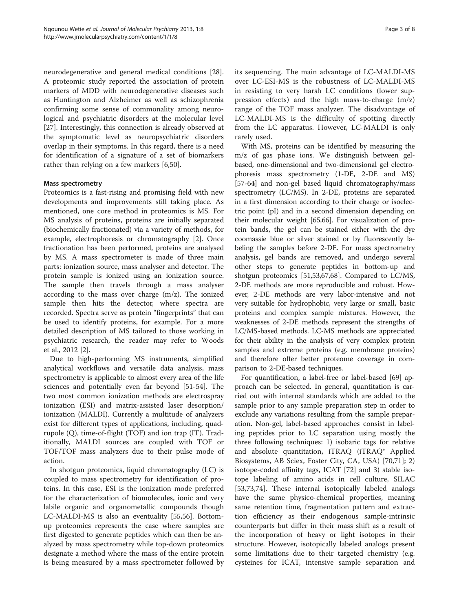neurodegenerative and general medical conditions [\[28](#page-5-0)]. A proteomic study reported the association of protein markers of MDD with neurodegenerative diseases such as Huntington and Alzheimer as well as schizophrenia confirming some sense of commonality among neurological and psychiatric disorders at the molecular level [[27\]](#page-5-0). Interestingly, this connection is already observed at the symptomatic level as neuropsychiatric disorders overlap in their symptoms. In this regard, there is a need for identification of a signature of a set of biomarkers rather than relying on a few markers [\[6](#page-5-0)[,50](#page-6-0)].

## Mass spectrometry

Proteomics is a fast-rising and promising field with new developments and improvements still taking place. As mentioned, one core method in proteomics is MS. For MS analysis of proteins, proteins are initially separated (biochemically fractionated) via a variety of methods, for example, electrophoresis or chromatography [\[2](#page-5-0)]. Once fractionation has been performed, proteins are analysed by MS. A mass spectrometer is made of three main parts: ionization source, mass analyser and detector. The protein sample is ionized using an ionization source. The sample then travels through a mass analyser according to the mass over charge (m/z). The ionized sample then hits the detector, where spectra are recorded. Spectra serve as protein "fingerprints" that can be used to identify proteins, for example. For a more detailed description of MS tailored to those working in psychiatric research, the reader may refer to Woods et al., 2012 [\[2](#page-5-0)].

Due to high-performing MS instruments, simplified analytical workflows and versatile data analysis, mass spectrometry is applicable to almost every area of the life sciences and potentially even far beyond [[51-54\]](#page-6-0). The two most common ionization methods are electrospray ionization (ESI) and matrix-assisted laser desorption/ ionization (MALDI). Currently a multitude of analyzers exist for different types of applications, including, quadrupole (Q), time-of-flight (TOF) and ion trap (IT). Traditionally, MALDI sources are coupled with TOF or TOF/TOF mass analyzers due to their pulse mode of action.

In shotgun proteomics, liquid chromatography (LC) is coupled to mass spectrometry for identification of proteins. In this case, ESI is the ionization mode preferred for the characterization of biomolecules, ionic and very labile organic and organometallic compounds though LC-MALDI-MS is also an eventuality [[55,56\]](#page-6-0). Bottomup proteomics represents the case where samples are first digested to generate peptides which can then be analyzed by mass spectrometry while top-down proteomics designate a method where the mass of the entire protein is being measured by a mass spectrometer followed by its sequencing. The main advantage of LC-MALDI-MS over LC-ESI-MS is the robustness of LC-MALDI-MS in resisting to very harsh LC conditions (lower suppression effects) and the high mass-to-charge (m/z) range of the TOF mass analyzer. The disadvantage of LC-MALDI-MS is the difficulty of spotting directly from the LC apparatus. However, LC-MALDI is only rarely used.

With MS, proteins can be identified by measuring the m/z of gas phase ions. We distinguish between gelbased, one-dimensional and two-dimensional gel electrophoresis mass spectrometry (1-DE, 2-DE and MS) [[57](#page-6-0)-[64\]](#page-6-0) and non-gel based liquid chromatography/mass spectrometry (LC/MS). In 2-DE, proteins are separated in a first dimension according to their charge or isoelectric point (pI) and in a second dimension depending on their molecular weight [\[65,66](#page-6-0)]. For visualization of protein bands, the gel can be stained either with the dye coomassie blue or silver stained or by fluorescently labeling the samples before 2-DE. For mass spectrometry analysis, gel bands are removed, and undergo several other steps to generate peptides in bottom-up and shotgun proteomics [[51,53,67,68](#page-6-0)]. Compared to LC/MS, 2-DE methods are more reproducible and robust. However, 2-DE methods are very labor-intensive and not very suitable for hydrophobic, very large or small, basic proteins and complex sample mixtures. However, the weaknesses of 2-DE methods represent the strengths of LC/MS-based methods. LC-MS methods are appreciated for their ability in the analysis of very complex protein samples and extreme proteins (e.g. membrane proteins) and therefore offer better proteome coverage in comparison to 2-DE-based techniques.

For quantification, a label-free or label-based [[69](#page-6-0)] approach can be selected. In general, quantitation is carried out with internal standards which are added to the sample prior to any sample preparation step in order to exclude any variations resulting from the sample preparation. Non-gel, label-based approaches consist in labeling peptides prior to LC separation using mostly the three following techniques: 1) isobaric tags for relative and absolute quantitation, iTRAQ (iTRAQ<sup>®</sup> Applied Biosystems, AB Sciex, Foster City, CA, USA) [[70,71\]](#page-6-0); 2) isotope-coded affinity tags, ICAT [\[72](#page-6-0)] and 3) stable isotope labeling of amino acids in cell culture, SILAC [[53,73,74\]](#page-6-0). These internal isotopically labeled analogs have the same physico-chemical properties, meaning same retention time, fragmentation pattern and extraction efficiency as their endogenous sample-intrinsic counterparts but differ in their mass shift as a result of the incorporation of heavy or light isotopes in their structure. However, isotopically labeled analogs present some limitations due to their targeted chemistry (e.g. cysteines for ICAT, intensive sample separation and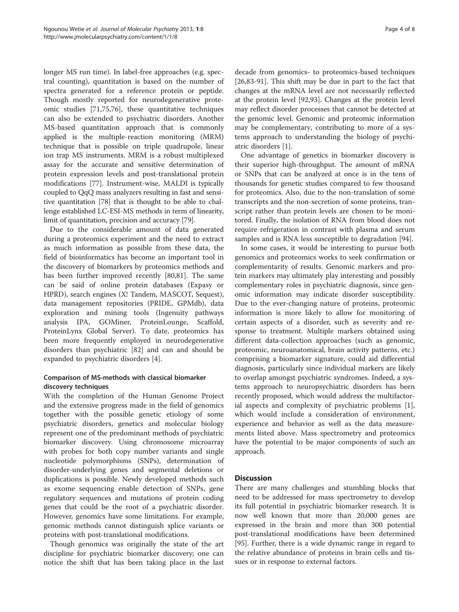longer MS run time). In label-free approaches (e.g. spectral counting), quantitation is based on the number of spectra generated for a reference protein or peptide. Though mostly reported for neurodegenerative proteomic studies [\[71,75,76\]](#page-6-0), these quantitative techniques can also be extended to psychiatric disorders. Another MS-based quantitation approach that is commonly applied is the multiple-reaction monitoring (MRM) technique that is possible on triple quadrupole, linear ion trap MS instruments. MRM is a robust multiplexed assay for the accurate and sensitive determination of protein expression levels and post-translational protein modifications [\[77](#page-6-0)]. Instrument-wise, MALDI is typically coupled to QqQ mass analyzers resulting in fast and sensitive quantitation [[78\]](#page-6-0) that is thought to be able to challenge established LC-ESI-MS methods in term of linearity, limit of quantitation, precision and accuracy [[79](#page-6-0)].

Due to the considerable amount of data generated during a proteomics experiment and the need to extract as much information as possible from these data, the field of bioinformatics has become an important tool in the discovery of biomarkers by proteomics methods and has been further improved recently [[80,81\]](#page-7-0). The same can be said of online protein databases (Expasy or HPRD), search engines (X! Tandem, MASCOT, Sequest), data management repositories (PRIDE, GPMdb), data exploration and mining tools (Ingenuity pathways analysis IPA, GOMiner, ProteinLounge, Scaffold, ProteinLynx Global Server). To date, proteomics has been more frequently employed in neurodegenerative disorders than psychiatric [\[82](#page-7-0)] and can and should be expanded to psychiatric disorders [\[4](#page-5-0)].

# Comparison of MS-methods with classical biomarker discovery techniques

With the completion of the Human Genome Project and the extensive progress made in the field of genomics together with the possible genetic etiology of some psychiatric disorders, genetics and molecular biology represent one of the predominant methods of psychiatric biomarker discovery. Using chromosome microarray with probes for both copy number variants and single nucleotide polymorphisms (SNPs), determination of disorder-underlying genes and segmental deletions or duplications is possible. Newly developed methods such as exome sequencing enable detection of SNPs, gene regulatory sequences and mutations of protein coding genes that could be the root of a psychiatric disorder. However, genomics have some limitations. For example, genomic methods cannot distinguish splice variants or proteins with post-translational modifications.

Though genomics was originally the state of the art discipline for psychiatric biomarker discovery; one can notice the shift that has been taking place in the last

decade from genomics- to proteomics-based techniques [[26,](#page-5-0)[83-91\]](#page-7-0). This shift may be due in part to the fact that changes at the mRNA level are not necessarily reflected at the protein level [[92](#page-7-0),[93](#page-7-0)]. Changes at the protein level may reflect disorder processes that cannot be detected at the genomic level. Genomic and proteomic information may be complementary, contributing to more of a systems approach to understanding the biology of psychiatric disorders [\[1](#page-5-0)].

One advantage of genetics in biomarker discovery is their superior high-throughput. The amount of mRNA or SNPs that can be analyzed at once is in the tens of thousands for genetic studies compared to few thousand for proteomics. Also, due to the non-translation of some transcripts and the non-secretion of some proteins, transcript rather than protein levels are chosen to be monitored. Finally, the isolation of RNA from blood does not require refrigeration in contrast with plasma and serum samples and is RNA less susceptible to degradation [\[94](#page-7-0)].

In some cases, it would be interesting to pursue both genomics and proteomics works to seek confirmation or complementarity of results. Genomic markers and protein markers may ultimately play interesting and possibly complementary roles in psychiatric diagnosis, since genomic information may indicate disorder susceptibility. Due to the ever-changing nature of proteins, proteomic information is more likely to allow for monitoring of certain aspects of a disorder, such as severity and response to treatment. Multiple markers obtained using different data-collection approaches (such as genomic, proteomic, neuroanatomical, brain activity patterns, etc.) comprising a biomarker signature, could aid differential diagnosis, particularly since individual markers are likely to overlap amongst psychiatric syndromes. Indeed, a systems approach to neuropsychiatric disorders has been recently proposed, which would address the multifactorial aspects and complexity of psychiatric problems [\[1](#page-5-0)], which would include a consideration of environment, experience and behavior as well as the data measurements listed above. Mass spectrometry and proteomics have the potential to be major components of such an approach.

# **Discussion**

There are many challenges and stumbling blocks that need to be addressed for mass spectrometry to develop its full potential in psychiatric biomarker research. It is now well known that more than 20,000 genes are expressed in the brain and more than 300 potential post-translational modifications have been determined [[95\]](#page-7-0). Further, there is a wide dynamic range in regard to the relative abundance of proteins in brain cells and tissues or in response to external factors.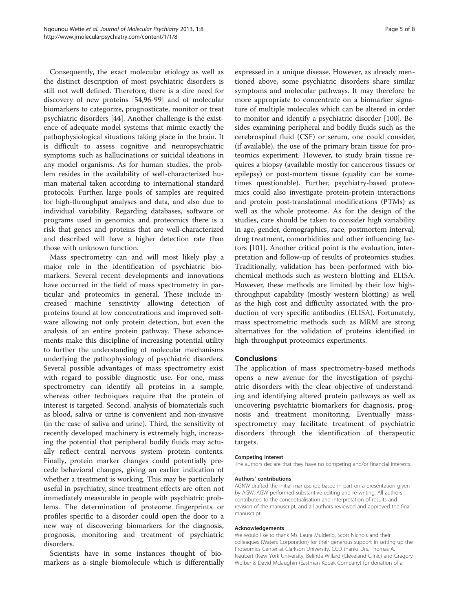Consequently, the exact molecular etiology as well as the distinct description of most psychiatric disorders is still not well defined. Therefore, there is a dire need for discovery of new proteins [[54](#page-6-0)[,96](#page-7-0)-[99\]](#page-7-0) and of molecular biomarkers to categorize, prognosticate, monitor or treat psychiatric disorders [\[44\]](#page-6-0). Another challenge is the existence of adequate model systems that mimic exactly the pathophysiological situations taking place in the brain. It is difficult to assess cognitive and neuropsychiatric symptoms such as hallucinations or suicidal ideations in any model organisms. As for human studies, the problem resides in the availability of well-characterized human material taken according to international standard protocols. Further, large pools of samples are required for high-throughput analyses and data, and also due to individual variability. Regarding databases, software or programs used in genomics and proteomics there is a risk that genes and proteins that are well-characterized and described will have a higher detection rate than those with unknown function.

Mass spectrometry can and will most likely play a major role in the identification of psychiatric biomarkers. Several recent developments and innovations have occurred in the field of mass spectrometry in particular and proteomics in general. These include increased machine sensitivity allowing detection of proteins found at low concentrations and improved software allowing not only protein detection, but even the analysis of an entire protein pathway. These advancements make this discipline of increasing potential utility to further the understanding of molecular mechanisms underlying the pathophysiology of psychiatric disorders. Several possible advantages of mass spectrometry exist with regard to possible diagnostic use. For one, mass spectrometry can identify all proteins in a sample, whereas other techniques require that the protein of interest is targeted. Second, analysis of biomaterials such as blood, saliva or urine is convenient and non-invasive (in the case of saliva and urine). Third, the sensitivity of recently developed machinery is extremely high, increasing the potential that peripheral bodily fluids may actually reflect central nervous system protein contents. Finally, protein marker changes could potentially precede behavioral changes, giving an earlier indication of whether a treatment is working. This may be particularly useful in psychiatry, since treatment effects are often not immediately measurable in people with psychiatric problems. The determination of proteome fingerprints or profiles specific to a disorder could open the door to a new way of discovering biomarkers for the diagnosis, prognosis, monitoring and treatment of psychiatric disorders.

Scientists have in some instances thought of biomarkers as a single biomolecule which is differentially

expressed in a unique disease. However, as already mentioned above, some psychiatric disorders share similar symptoms and molecular pathways. It may therefore be more appropriate to concentrate on a biomarker signature of multiple molecules which can be altered in order to monitor and identify a psychiatric disorder [\[100\]](#page-7-0). Besides examining peripheral and bodily fluids such as the cerebrospinal fluid (CSF) or serum, one could consider, (if available), the use of the primary brain tissue for proteomics experiment. However, to study brain tissue requires a biopsy (available mostly for cancerous tissues or epilepsy) or post-mortem tissue (quality can be sometimes questionable). Further, psychiatry-based proteomics could also investigate protein-protein interactions and protein post-translational modifications (PTMs) as well as the whole proteome. As for the design of the studies, care should be taken to consider high variability in age, gender, demographics, race, postmortem interval, drug treatment, comorbidities and other influencing factors [[101\]](#page-7-0). Another critical point is the evaluation, interpretation and follow-up of results of proteomics studies. Traditionally, validation has been performed with biochemical methods such as western blotting and ELISA. However, these methods are limited by their low highthroughput capability (mostly western blotting) as well as the high cost and difficulty associated with the production of very specific antibodies (ELISA). Fortunately, mass spectrometric methods such as MRM are strong alternatives for the validation of proteins identified in high-throughput proteomics experiments.

# **Conclusions**

The application of mass spectrometry-based methods opens a new avenue for the investigation of psychiatric disorders with the clear objective of understanding and identifying altered protein pathways as well as uncovering psychiatric biomarkers for diagnosis, prognosis and treatment monitoring. Eventually massspectrometry may facilitate treatment of psychiatric disorders through the identification of therapeutic targets.

#### Competing interest

The authors declare that they have no competing and/or financial interests.

#### Authors' contributions

AGNW drafted the initial manuscript; based in part on a presentation given by AGW. AGW performed substantive editing and re-writing. All authors contributed to the conceptualisation and interpretation of results and revision of the manuscript, and all authors reviewed and approved the final manuscript.

#### Acknowledgements

We would like to thank Ms. Laura Mulderig, Scott Nichols and their colleagues (Waters Corporation) for their generous support in setting up the Proteomics Center at Clarkson University. CCD thanks Drs. Thomas A. Neubert (New York University, Belinda Willard (Cleveland Clinic) and Gregory Wolber & David Mclaughin (Eastman Kodak Company) for donation of a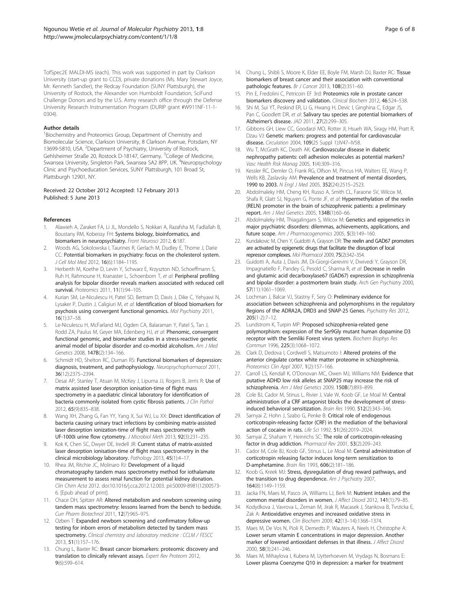<span id="page-5-0"></span>TofSpec2E MALDI-MS (each). This work was supported in part by Clarkson University (start-up grant to CCD), private donations (Ms. Mary Stewart Joyce, Mr. Kenneth Sandler), the Redcay Foundation (SUNY Plattsburgh), the University of Rostock, the Alexander von Humboldt Foundation, SciFund Challenge Donors and by the U.S. Army research office through the Defense University Research Instrumentation Program (DURIP grant #W911NF-11-1- 0304).

#### Author details

<sup>1</sup> Biochemistry and Proteomics Group, Department of Chemistry and Biomolecular Science, Clarkson University, 8 Clarkson Avenue, Potsdam, NY 13699-5810, USA. <sup>2</sup>Department of Psychiatry, University of Rostock, Gehlsheimer Straße 20, Rostock D-18147, Germany. <sup>3</sup>College of Medicine, Swansea University, Singleton Park, Swansea SA2 8PP, UK. <sup>4</sup>Neuropsychology Clinic and Psychoeducation Services, SUNY Plattsburgh, 101 Broad St, Plattsburgh 12901, NY.

Received: 22 October 2012 Accepted: 12 February 2013 Published: 5 June 2013

#### References

- 1. Alawieh A, Zaraket FA, Li JL, Mondello S, Nokkari A, Razafsha M, Fadlallah B, Boustany RM, Kobeissy FH: Systems biology, bioinformatics, and biomarkers in neuropsychiatry. Front Neurosci 2012, 6:187.
- 2. Woods AG, Sokolowska I, Taurines R, Gerlach M, Dudley E, Thome J, Darie CC: Potential biomarkers in psychiatry: focus on the cholesterol system. J Cell Mol Med 2012, 16(6):1184–1195.
- Herberth M, Koethe D, Levin Y, Schwarz E, Krzyszton ND, Schoeffmann S, Ruh H, Rahmoune H, Kranaster L, Schoenborn T, et al: Peripheral profiling analysis for bipolar disorder reveals markers associated with reduced cell survival. Proteomics 2011, 11(1):94–105.
- Kurian SM, Le-Niculescu H, Patel SD, Bertram D, Davis J, Dike C, Yehyawi N, Lysaker P, Dustin J, Caligiuri M, et al: Identification of blood biomarkers for psychosis using convergent functional genomics. Mol Psychiatry 2011, 16(1):37–58.
- Le-Niculescu H, McFarland MJ, Ogden CA, Balaraman Y, Patel S, Tan J, Rodd ZA, Paulus M, Geyer MA, Edenberg HJ, et al: Phenomic, convergent functional genomic, and biomarker studies in a stress-reactive genetic animal model of bipolar disorder and co-morbid alcoholism. Am J Med Genetics 2008, 147B(2):134–166.
- 6. Schmidt HD, Shelton RC, Duman RS: Functional biomarkers of depression: diagnosis, treatment, and pathophysiology. Neuropsychopharmacol 2011, 36(12):2375–2394.
- Desai AP, Stanley T, Atuan M, McKey J, Lipuma JJ, Rogers B, Jerris R: Use of matrix assisted laser desorption ionisation-time of flight mass spectrometry in a paediatric clinical laboratory for identification of bacteria commonly isolated from cystic fibrosis patients. J Clin Pathol 2012, 65(9):835–838.
- Wang XH, Zhang G, Fan YY, Yang X, Sui WJ, Lu XX: Direct identification of bacteria causing urinary tract infections by combining matrix-assisted laser desorption ionization-time of flight mass spectrometry with UF-1000i urine flow cytometry. J Microbiol Meth 2013, 92(3):231–235.
- 9. Kok K, Chen SC, Dwyer DE, Iredell JR: Current status of matrix-assisted laser desorption ionisation-time of flight mass spectrometry in the clinical microbiology laboratory. Pathology 2013, 45(1):4-17.
- 10. Rhea JM, Ritchie JC, Molinaro RJ: Development of a liquid chromatography tandem mass spectrometry method for iothalamate measurement to assess renal function for potential kidney donation. Clin Chim Acta 2012. doi[:10.1016/j.cca.2012.12.003.](http://dx.doi.org/10.1016/j.cca.2012.12.003) pii:S0009-8981(12)00573- 6. [Epub ahead of print].
- 11. Chace DH, Spitzer AR: Altered metabolism and newborn screening using tandem mass spectrometry: lessons learned from the bench to bedside. Curr Pharm Biotechnol 2011, 12(7):965–975.
- 12. Ozben T: Expanded newborn screening and confirmatory follow-up testing for inborn errors of metabolism detected by tandem mass spectrometry. Clinical chemistry and laboratory medicine : CCLM / FESCC 2013, 51(1):157–176.
- 13. Chung L, Baxter RC: Breast cancer biomarkers: proteomic discovery and translation to clinically relevant assays. Expert Rev Proteom 2012, 9(6):599–614.
- 14. Chung L, Shibli S, Moore K, Elder EE, Boyle FM, Marsh DJ, Baxter RC: Tissue biomarkers of breast cancer and their association with conventional pathologic features. Br J Cancer 2013, 108(2):351–60.
- 15. Pin E, Fredolini C, Petricoin EF 3rd: Proteomics role in prostate cancer biomarkers discovery and validation. Clinical Biochem 2012, 46:524–538.
- 16. Shi M, Sui YT, Peskind ER, Li G, Hwang H, Devic I, Ginghina C, Edgar JS, Pan C, Goodlett DR, et al: Salivary tau species are potential biomarkers of Alzheimer's disease. JAD 2011, 27(2):299–305.
- 17. Gibbons GH, Liew CC, Goodarzi MO, Rotter JI, Hsueh WA, Siragy HM, Pratt R, Dzau VJ: Genetic markers: progress and potential for cardiovascular disease. Circulation 2004, 109(25 Suppl 1):IV47–IV58.
- 18. Wu T, McGrath KC, Death AK: Cardiovascular disease in diabetic nephropathy patients: cell adhesion molecules as potential markers? Vasc Health Risk Manag 2005, 1(4):309–316.
- 19. Kessler RC, Demler O, Frank RG, Olfson M, Pincus HA, Walters EE, Wang P, Wells KB, Zaslavsky AM: Prevalence and treatment of mental disorders, 1990 to 2003. N Fnal J Med 2005, 352(24):2515-2523.
- 20. Abdolmaleky HM, Cheng KH, Russo A, Smith CL, Faraone SV, Wilcox M, Shafa R, Glatt SJ, Nguyen G, Ponte JF, et al: Hypermethylation of the reelin (RELN) promoter in the brain of schizophrenic patients: a preliminary report. Am J Med Genetics 2005, 134B(1):60–66.
- 21. Abdolmaleky HM, Thiagalingam S, Wilcox M: Genetics and epigenetics in major psychiatric disorders: dilemmas, achievements, applications, and future scope. Am J Pharmacogenomics 2005, 5(3):149–160.
- 22. Kundakovic M, Chen Y, Guidotti A, Grayson DR: The reelin and GAD67 promoters are activated by epigenetic drugs that facilitate the disruption of local repressor complexes. Mol Pharmacol 2009, 75(2):342–354.
- 23. Guidotti A, Auta J, Davis JM, Di-Giorgi-Gerevini V, Dwivedi Y, Grayson DR, Impagnatiello F, Pandey G, Pesold C, Sharma R, et al: Decrease in reelin and glutamic acid decarboxylase67 (GAD67) expression in schizophrenia and bipolar disorder: a postmortem brain study. Arch Gen Psychiatry 2000, 57(11):1061–1069.
- 24. Lochman J, Balcar VJ, Stastny F, Sery O: Preliminary evidence for association between schizophrenia and polymorphisms in the regulatory Regions of the ADRA2A, DRD3 and SNAP-25 Genes. Psychiatry Res 2012, 205(1-2):7–12.
- 25. Lundstrom K, Turpin MP: Proposed schizophrenia-related gene polymorphism: expression of the Ser9Gly mutant human dopamine D3 receptor with the Semliki Forest virus system. Biochem Biophys Res Commun 1996, 225(3):1068–1072.
- 26. Clark D, Dedova I, Cordwell S, Matsumoto I: Altered proteins of the anterior cingulate cortex white matter proteome in schizophrenia. Proteomics Clin Appl 2007, 1(2):157–166.
- 27. Carroll LS, Kendall K, O'Donovan MC, Owen MJ, Williams NM: Evidence that putative ADHD low risk alleles at SNAP25 may increase the risk of schizophrenia. Am J Med Genetics 2009, 150B(7):893-899.
- 28. Cole BJ, Cador M, Stinus L, Rivier J, Vale W, Koob GF, Le Moal M: Central administration of a CRF antagonist blocks the development of stressinduced behavioral sensitization. Brain Res 1990, 512(2):343–346.
- Sarnyai Z, Hohn J, Szabo G, Penke B: Critical role of endogenous corticotropin-releasing factor (CRF) in the mediation of the behavioral action of cocaine in rats. Life Sci 1992, 51(26):2019–2024.
- 30. Sarnyai Z, Shaham Y, Heinrichs SC: The role of corticotropin-releasing factor in drug addiction. Pharmacol Rev 2001, 53(2):209–243.
- 31. Cador M, Cole BJ, Koob GF, Stinus L, Le Moal M: Central administration of corticotropin releasing factor induces long-term sensitization to D-amphetamine. Brain Res 1993, 606(2):181–186.
- 32. Koob G, Kreek MJ: Stress, dysregulation of drug reward pathways, and the transition to drug dependence. Am J Psychiatry 2007, 164(8):1149–1159.
- 33. Jacka FN, Maes M, Pasco JA, Williams LJ, Berk M: Nutrient intakes and the common mental disorders in women. J Affect Disord 2012, 141(1):79–85.
- 34. Kodydkova J, Vavrova L, Zeman M, Jirak R, Macasek J, Stankova B, Tvrzicka E, Zak A: Antioxidative enzymes and increased oxidative stress in depressive women. Clin Biochem 2009, 42(13–14):1368–1374.
- 35. Maes M, De Vos N, Pioli R, Demedts P, Wauters A, Neels H, Christophe A: Lower serum vitamin E concentrations in major depression. Another marker of lowered antioxidant defenses in that illness. J Affect Disord 2000, 58(3):241–246.
- 36. Maes M, Mihaylova I, Kubera M, Uytterhoeven M, Vrydags N, Bosmans E: Lower plasma Coenzyme Q10 in depression: a marker for treatment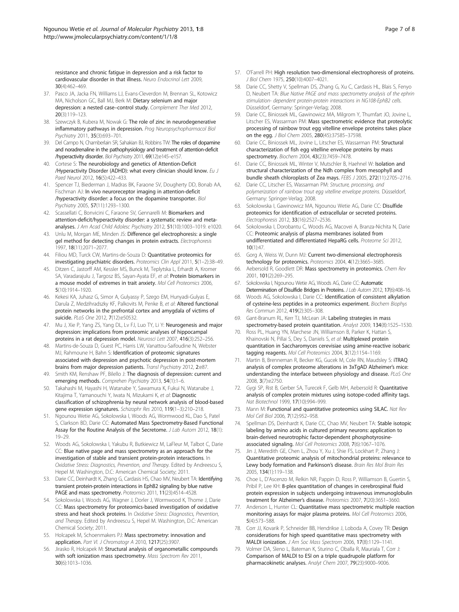<span id="page-6-0"></span>resistance and chronic fatigue in depression and a risk factor to cardiovascular disorder in that illness. Neuro Endocrinol Lett 2009, 30(4):462–469.

- 37. Pasco JA, Jacka FN, Williams LJ, Evans-Cleverdon M, Brennan SL, Kotowicz MA, Nicholson GC, Ball MJ, Berk M: Dietary selenium and major depression: a nested case–control study. Complement Ther Med 2012, 20(3):119–123.
- 38. Szewczyk B, Kubera M, Nowak G: The role of zinc in neurodegenerative inflammatory pathways in depression. Prog Neuropsychopharmacol Biol Psychiatry 2011, 35(3):693–701.
- 39. Del Campo N, Chamberlain SR, Sahakian BJ, Robbins TW: The roles of dopamine and noradrenaline in the pathophysiology and treatment of attention-deficit /hyperactivity disorder. Biol Psychiatry 2011, 69(12):e145–e157.
- 40. Cortese S: The neurobiology and genetics of Attention-Deficit /Hyperactivity Disorder (ADHD): what every clinician should know. Eu J Paed Neurol 2012, 16(5):422–433.
- 41. Spencer TJ, Biederman J, Madras BK, Faraone SV, Dougherty DD, Bonab AA, Fischman AJ: In vivo neuroreceptor imaging in attention-deficit /hyperactivity disorder: a focus on the dopamine transporter. Biol Psychiatry 2005, 57(11):1293–1300.
- 42. Scassellati C, Bonvicini C, Faraone SV, Gennarelli M: Biomarkers and attention-deficit/hyperactivity disorder: a systematic review and metaanalyses. J Am Acad Child Adolesc Psychiatry 2012, 51(10):1003–1019. e1020.
- 43. Unlu M, Morgan ME, Minden JS: Difference gel electrophoresis: a single gel method for detecting changes in protein extracts. Electrophoresis 1997, 18(11):2071–2077.
- 44. Filiou MD, Turck CW, Martins-de-Souza D: Quantitative proteomics for investigating psychiatric disorders. Proteomics Clin Appl 2011, 5(1–2):38–49.
- 45. Ditzen C, Jastorff AM, Kessler MS, Bunck M, Teplytska L, Erhardt A, Kromer SA, Varadarajulu J, Targosz BS, Sayan-Ayata EF, et al: Protein biomarkers in a mouse model of extremes in trait anxiety. Mol Cell Proteomics 2006, 5(10):1914–1920.
- 46. Kekesi KA, Juhasz G, Simor A, Gulyassy P, Szego EM, Hunyadi-Gulyas E, Darula Z, Medzihradszky KF, Palkovits M, Penke B, et al: Altered functional protein networks in the prefrontal cortex and amygdala of victims of suicide. PLoS One 2012, 7(12):e50532.
- 47. Mu J, Xie P, Yang ZS, Yang DL, Lv FJ, Luo TY, Li Y: Neurogenesis and major depression: implications from proteomic analyses of hippocampal proteins in a rat depression model. Neurosci Lett 2007, 416(3):252–256.
- 48. Martins-de-Souza D, Guest PC, Harris LW, Vanattou-Saifoudine N, Webster MJ, Rahmoune H, Bahn S: Identification of proteomic signatures associated with depression and psychotic depression in post-mortem brains from major depression patients. Transl Psychiatry 2012, 2:e87
- 49. Smith KM, Renshaw PF, Bilello J: The diagnosis of depression: current and emerging methods. Comprehen Psychiatry 2013, 54(1):1-6.
- 50. Takahashi M, Hayashi H, Watanabe Y, Sawamura K, Fukui N, Watanabe J, Kitajima T, Yamanouchi Y, Iwata N, Mizukami K, et al: Diagnostic classification of schizophrenia by neural network analysis of blood-based gene expression signatures. Schizophr Res 2010, 119(1–3):210–218.
- 51. Ngounou Wetie AG, Sokolowska I, Woods AG, Wormwood KL, Dao S, Patel S, Clarkson BD, Darie CC: Automated Mass Spectrometry-Based Functional Assay for the Routine Analysis of the Secretome. J Lab Autom 2012, 18(1): 19–29.
- 52. Woods AG, Sokolowska I, Yakubu R, Butkiewicz M, LaFleur M, Talbot C, Darie CC: Blue native page and mass spectrometry as an approach for the investigation of stable and transient protein-protein interactions. In Oxidative Stress: Diagnostics, Prevention, and Therapy. Edited by Andreescu S, Hepel M. Washington, D.C: American Chemical Society; 2011.
- 53. Darie CC, Deinhardt K, Zhang G, Cardasis HS, Chao MV, Neubert TA: Identifying transient protein-protein interactions in EphB2 signaling by blue native PAGE and mass spectrometry. Proteomics 2011, 11(23):4514-4528.
- 54. Sokolowska I, Woods AG, Wagner J, Dorler J, Wormwood K, Thome J, Darie CC: Mass spectrometry for proteomics-based investigation of oxidative stress and heat shock proteins. In Oxidative Stress: Diagnostics, Prevention, and Therapy. Edited by Andreescu S, Hepel M. Washington, D.C: American Chemical Society; 2011.
- 55. Holcapek M, Schoenmakers PJ: Mass spectrometry: innovation and application. Part VI. J Chromatogr A 2010, 1217(25):3907
- 56. Jirasko R, Holcapek M: Structural analysis of organometallic compounds with soft ionization mass spectrometry. Mass Spectrom Rev 2011, 30(6):1013–1036.
- 57. O'Farrell PH: High resolution two-dimensional electrophoresis of proteins. J Biol Chem 1975, 250(10):4007–4021.
- 58. Darie CC, Shetty V, Spellman DS, Zhang G, Xu C, Cardasis HL, Blais S, Fenyo D, Neubert TA: Blue Native PAGE and mass spectrometry analysis of the ephrin stimulation- dependent protein-protein interactions in NG108-EphB2 cells. Düsseldorf, Germany: Springer-Verlag; 2008.
- 59. Darie CC, Biniossek ML, Gawinowicz MA, Milgrom Y, Thumfart JO, Jovine L, Litscher ES, Wassarman PM: Mass spectrometric evidence that proteolytic processing of rainbow trout egg vitelline envelope proteins takes place on the egg. J Biol Chem 2005, 280(45):37585–37598.
- 60. Darie CC, Biniossek ML, Jovine L, Litscher ES, Wassarman PM: Structural characterization of fish egg vitelline envelope proteins by mass spectrometry. Biochem 2004, 43(23):7459–7478.
- 61. Darie CC, Biniossek ML, Winter V, Mutschler B, Haehnel W: Isolation and structural characterization of the Ndh complex from mesophyll and bundle sheath chloroplasts of Zea mays. FEBS J 2005, 272(11):2705–2716.
- 62. Darie CC, Litscher ES, Wassarman PM: Structure, processing, and polymerization of rainbow trout egg vitelline envelope proteins. Düsseldorf, Germany: Springer-Verlag; 2008.
- 63. Sokolowska I, Gawinowicz MA, Ngounou Wetie AG, Darie CC: Disulfide proteomics for identification of extracellular or secreted proteins. Electrophoresis 2012, 33(16):2527–2536.
- 64. Sokolowska I, Dorobantu C, Woods AG, Macovei A, Branza-Nichita N, Darie CC: Proteomic analysis of plasma membranes isolated from undifferentiated and differentiated HepaRG cells. Proteome Sci 2012, 10(1):47.
- 65. Gorg A, Weiss W, Dunn MJ: Current two-dimensional electrophoresis technology for proteomics. Proteomics 2004, 4(12):3665-3685
- 66. Aebersold R, Goodlett DR: Mass spectrometry in proteomics. Chem Rev 2001, 101(2):269–295.
- 67. Sokolowska I, Ngounou Wetie AG, Woods AG, Darie CC: Automatic Determination of Disulfide Bridges in Proteins. J Lab Autom 2012, 17(6):408-16.
- 68. Woods AG, Sokolowska I, Darie CC: Identification of consistent alkylation of cysteine-less peptides in a proteomics experiment. Biochem Biophys Res Commun 2012, 419(2):305–308.
- 69. Gant-Branum RL, Kerr TJ, McLean JA: Labeling strategies in mass spectrometry-based protein quantitation. Analyst 2009, 134(8):1525–1530.
- 70. Ross PL, Huang YN, Marchese JN, Williamson B, Parker K, Hattan S, Khainovski N, Pillai S, Dey S, Daniels S, et al: Multiplexed protein quantitation in Saccharomyces cerevisiae using amine-reactive isobaric tagging reagents. Mol Cell Proteomics 2004, 3(12):1154–1169.
- 71. Martin B, Brenneman R, Becker KG, Gucek M, Cole RN, Maudsley S: iTRAQ analysis of complex proteome alterations in 3xTgAD Alzheimer's mice: understanding the interface between physiology and disease. PLoS One 2008, 3(7):e2750.
- 72. Gygi SP, Rist B, Gerber SA, Turecek F, Gelb MH, Aebersold R: Quantitative analysis of complex protein mixtures using isotope-coded affinity tags. Nat Biotechnol 1999, 17(10):994–999.
- 73. Mann M: Functional and quantitative proteomics using SILAC. Nat Rev Mol Cell Biol 2006, 7(12):952–958.
- 74. Spellman DS, Deinhardt K, Darie CC, Chao MV, Neubert TA: Stable isotopic labeling by amino acids in cultured primary neurons: application to brain-derived neurotrophic factor-dependent phosphotyrosineassociated signaling. Mol Cell Proteomics 2008, 7(6):1067–1076.
- 75. Jin J, Meredith GE, Chen L, Zhou Y, Xu J, Shie FS, Lockhart P, Zhang J: Quantitative proteomic analysis of mitochondrial proteins: relevance to Lewy body formation and Parkinson's disease. Brain Res Mol Brain Res 2005, 134(1):119–138.
- 76. Choe L, D'Ascenzo M, Relkin NR, Pappin D, Ross P, Williamson B, Guertin S, Pribil P, Lee KH: 8-plex quantitation of changes in cerebrospinal fluid protein expression in subjects undergoing intravenous immunoglobulin treatment for Alzheimer's disease. Proteomics 2007, 7(20):3651–3660.
- 77. Anderson L, Hunter CL: Quantitative mass spectrometric multiple reaction monitoring assays for major plasma proteins. Mol Cell Proteomics 2006, 5(4):573–588.
- 78. Corr JJ, Kovarik P, Schneider BB, Hendrikse J, Loboda A, Covey TR: Design considerations for high speed quantitative mass spectrometry with MALDI ionization. J Am Soc Mass Spectrom 2006, 17(8):1129–1141.
- 79. Volmer DA, Sleno L, Bateman K, Sturino C, Oballa R, Mauriala T, Corr J: Comparison of MALDI to ESI on a triple quadrupole platform for pharmacokinetic analyses. Analyt Chem 2007, 79(23):9000–9006.